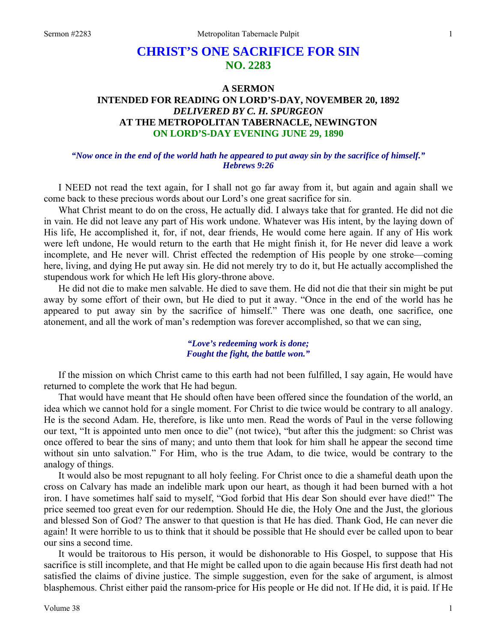# **CHRIST'S ONE SACRIFICE FOR SIN NO. 2283**

## **A SERMON INTENDED FOR READING ON LORD'S-DAY, NOVEMBER 20, 1892**  *DELIVERED BY C. H. SPURGEON*  **AT THE METROPOLITAN TABERNACLE, NEWINGTON ON LORD'S-DAY EVENING JUNE 29, 1890**

#### *"Now once in the end of the world hath he appeared to put away sin by the sacrifice of himself." Hebrews 9:26*

I NEED not read the text again, for I shall not go far away from it, but again and again shall we come back to these precious words about our Lord's one great sacrifice for sin.

What Christ meant to do on the cross, He actually did. I always take that for granted. He did not die in vain. He did not leave any part of His work undone. Whatever was His intent, by the laying down of His life, He accomplished it, for, if not, dear friends, He would come here again. If any of His work were left undone, He would return to the earth that He might finish it, for He never did leave a work incomplete, and He never will. Christ effected the redemption of His people by one stroke—coming here, living, and dying He put away sin. He did not merely try to do it, but He actually accomplished the stupendous work for which He left His glory-throne above.

He did not die to make men salvable. He died to save them. He did not die that their sin might be put away by some effort of their own, but He died to put it away. "Once in the end of the world has he appeared to put away sin by the sacrifice of himself." There was one death, one sacrifice, one atonement, and all the work of man's redemption was forever accomplished, so that we can sing,

> *"Love's redeeming work is done; Fought the fight, the battle won."*

If the mission on which Christ came to this earth had not been fulfilled, I say again, He would have returned to complete the work that He had begun.

That would have meant that He should often have been offered since the foundation of the world, an idea which we cannot hold for a single moment. For Christ to die twice would be contrary to all analogy. He is the second Adam. He, therefore, is like unto men. Read the words of Paul in the verse following our text, "It is appointed unto men once to die" (not twice), "but after this the judgment: so Christ was once offered to bear the sins of many; and unto them that look for him shall he appear the second time without sin unto salvation." For Him, who is the true Adam, to die twice, would be contrary to the analogy of things.

It would also be most repugnant to all holy feeling. For Christ once to die a shameful death upon the cross on Calvary has made an indelible mark upon our heart, as though it had been burned with a hot iron. I have sometimes half said to myself, "God forbid that His dear Son should ever have died!" The price seemed too great even for our redemption. Should He die, the Holy One and the Just, the glorious and blessed Son of God? The answer to that question is that He has died. Thank God, He can never die again! It were horrible to us to think that it should be possible that He should ever be called upon to bear our sins a second time.

It would be traitorous to His person, it would be dishonorable to His Gospel, to suppose that His sacrifice is still incomplete, and that He might be called upon to die again because His first death had not satisfied the claims of divine justice. The simple suggestion, even for the sake of argument, is almost blasphemous. Christ either paid the ransom-price for His people or He did not. If He did, it is paid. If He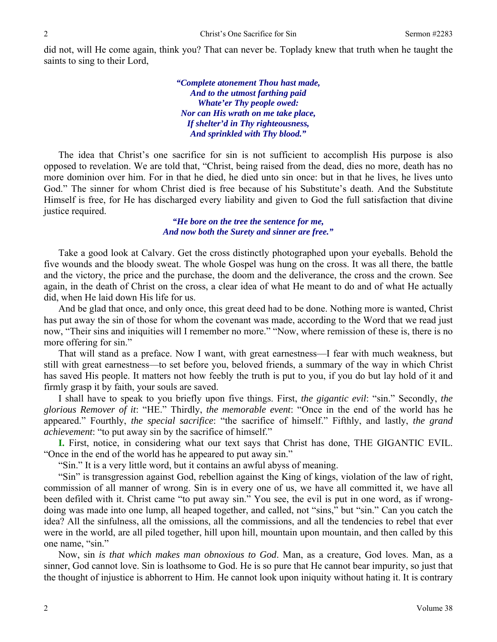did not, will He come again, think you? That can never be. Toplady knew that truth when he taught the saints to sing to their Lord,

> *"Complete atonement Thou hast made, And to the utmost farthing paid Whate'er Thy people owed: Nor can His wrath on me take place, If shelter'd in Thy righteousness, And sprinkled with Thy blood."*

The idea that Christ's one sacrifice for sin is not sufficient to accomplish His purpose is also opposed to revelation. We are told that, "Christ, being raised from the dead, dies no more, death has no more dominion over him. For in that he died, he died unto sin once: but in that he lives, he lives unto God." The sinner for whom Christ died is free because of his Substitute's death. And the Substitute Himself is free, for He has discharged every liability and given to God the full satisfaction that divine justice required.

> *"He bore on the tree the sentence for me, And now both the Surety and sinner are free."*

Take a good look at Calvary. Get the cross distinctly photographed upon your eyeballs. Behold the five wounds and the bloody sweat. The whole Gospel was hung on the cross. It was all there, the battle and the victory, the price and the purchase, the doom and the deliverance, the cross and the crown. See again, in the death of Christ on the cross, a clear idea of what He meant to do and of what He actually did, when He laid down His life for us.

And be glad that once, and only once, this great deed had to be done. Nothing more is wanted, Christ has put away the sin of those for whom the covenant was made, according to the Word that we read just now, "Their sins and iniquities will I remember no more." "Now, where remission of these is, there is no more offering for sin."

That will stand as a preface. Now I want, with great earnestness—I fear with much weakness, but still with great earnestness—to set before you, beloved friends, a summary of the way in which Christ has saved His people. It matters not how feebly the truth is put to you, if you do but lay hold of it and firmly grasp it by faith, your souls are saved.

I shall have to speak to you briefly upon five things. First, *the gigantic evil*: "sin." Secondly, *the glorious Remover of it*: "HE." Thirdly, *the memorable event*: "Once in the end of the world has he appeared." Fourthly, *the special sacrifice*: "the sacrifice of himself." Fifthly, and lastly, *the grand achievement*: "to put away sin by the sacrifice of himself."

**I.** First, notice, in considering what our text says that Christ has done, THE GIGANTIC EVIL. "Once in the end of the world has he appeared to put away sin."

"Sin." It is a very little word, but it contains an awful abyss of meaning.

"Sin" is transgression against God, rebellion against the King of kings, violation of the law of right, commission of all manner of wrong. Sin is in every one of us, we have all committed it, we have all been defiled with it. Christ came "to put away sin." You see, the evil is put in one word, as if wrongdoing was made into one lump, all heaped together, and called, not "sins," but "sin." Can you catch the idea? All the sinfulness, all the omissions, all the commissions, and all the tendencies to rebel that ever were in the world, are all piled together, hill upon hill, mountain upon mountain, and then called by this one name, "sin."

Now, sin *is that which makes man obnoxious to God*. Man, as a creature, God loves. Man, as a sinner, God cannot love. Sin is loathsome to God. He is so pure that He cannot bear impurity, so just that the thought of injustice is abhorrent to Him. He cannot look upon iniquity without hating it. It is contrary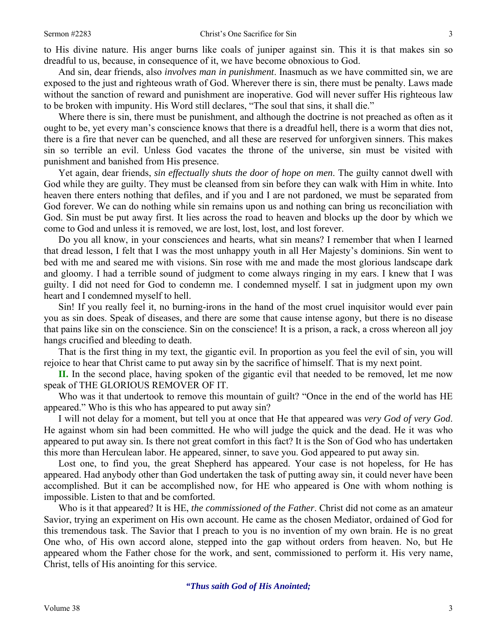to His divine nature. His anger burns like coals of juniper against sin. This it is that makes sin so dreadful to us, because, in consequence of it, we have become obnoxious to God.

And sin, dear friends, also *involves man in punishment*. Inasmuch as we have committed sin, we are exposed to the just and righteous wrath of God. Wherever there is sin, there must be penalty. Laws made without the sanction of reward and punishment are inoperative. God will never suffer His righteous law to be broken with impunity. His Word still declares, "The soul that sins, it shall die."

Where there is sin, there must be punishment, and although the doctrine is not preached as often as it ought to be, yet every man's conscience knows that there is a dreadful hell, there is a worm that dies not, there is a fire that never can be quenched, and all these are reserved for unforgiven sinners. This makes sin so terrible an evil. Unless God vacates the throne of the universe, sin must be visited with punishment and banished from His presence.

Yet again, dear friends, *sin effectually shuts the door of hope on men*. The guilty cannot dwell with God while they are guilty. They must be cleansed from sin before they can walk with Him in white. Into heaven there enters nothing that defiles, and if you and I are not pardoned, we must be separated from God forever. We can do nothing while sin remains upon us and nothing can bring us reconciliation with God. Sin must be put away first. It lies across the road to heaven and blocks up the door by which we come to God and unless it is removed, we are lost, lost, lost, and lost forever.

Do you all know, in your consciences and hearts, what sin means? I remember that when I learned that dread lesson, I felt that I was the most unhappy youth in all Her Majesty's dominions. Sin went to bed with me and seared me with visions. Sin rose with me and made the most glorious landscape dark and gloomy. I had a terrible sound of judgment to come always ringing in my ears. I knew that I was guilty. I did not need for God to condemn me. I condemned myself. I sat in judgment upon my own heart and I condemned myself to hell.

Sin! If you really feel it, no burning-irons in the hand of the most cruel inquisitor would ever pain you as sin does. Speak of diseases, and there are some that cause intense agony, but there is no disease that pains like sin on the conscience. Sin on the conscience! It is a prison, a rack, a cross whereon all joy hangs crucified and bleeding to death.

That is the first thing in my text, the gigantic evil. In proportion as you feel the evil of sin, you will rejoice to hear that Christ came to put away sin by the sacrifice of himself. That is my next point.

**II.** In the second place, having spoken of the gigantic evil that needed to be removed, let me now speak of THE GLORIOUS REMOVER OF IT.

Who was it that undertook to remove this mountain of guilt? "Once in the end of the world has HE appeared." Who is this who has appeared to put away sin?

I will not delay for a moment, but tell you at once that He that appeared was *very God of very God*. He against whom sin had been committed. He who will judge the quick and the dead. He it was who appeared to put away sin. Is there not great comfort in this fact? It is the Son of God who has undertaken this more than Herculean labor. He appeared, sinner, to save you. God appeared to put away sin.

Lost one, to find you, the great Shepherd has appeared. Your case is not hopeless, for He has appeared. Had anybody other than God undertaken the task of putting away sin, it could never have been accomplished. But it can be accomplished now, for HE who appeared is One with whom nothing is impossible. Listen to that and be comforted.

Who is it that appeared? It is HE, *the commissioned of the Father*. Christ did not come as an amateur Savior, trying an experiment on His own account. He came as the chosen Mediator, ordained of God for this tremendous task. The Savior that I preach to you is no invention of my own brain. He is no great One who, of His own accord alone, stepped into the gap without orders from heaven. No, but He appeared whom the Father chose for the work, and sent, commissioned to perform it. His very name, Christ, tells of His anointing for this service.

*"Thus saith God of His Anointed;*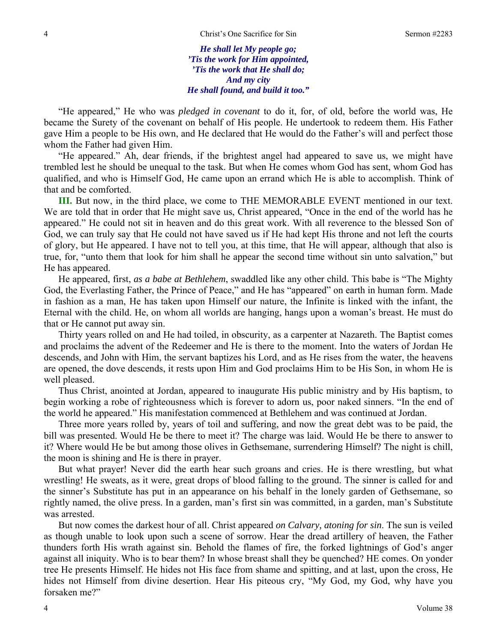*He shall let My people go; 'Tis the work for Him appointed, 'Tis the work that He shall do; And my city He shall found, and build it too."* 

"He appeared," He who was *pledged in covenant* to do it, for, of old, before the world was, He became the Surety of the covenant on behalf of His people. He undertook to redeem them. His Father gave Him a people to be His own, and He declared that He would do the Father's will and perfect those whom the Father had given Him.

"He appeared." Ah, dear friends, if the brightest angel had appeared to save us, we might have trembled lest he should be unequal to the task. But when He comes whom God has sent, whom God has qualified, and who is Himself God, He came upon an errand which He is able to accomplish. Think of that and be comforted.

**III.** But now, in the third place, we come to THE MEMORABLE EVENT mentioned in our text. We are told that in order that He might save us, Christ appeared, "Once in the end of the world has he appeared." He could not sit in heaven and do this great work. With all reverence to the blessed Son of God, we can truly say that He could not have saved us if He had kept His throne and not left the courts of glory, but He appeared. I have not to tell you, at this time, that He will appear, although that also is true, for, "unto them that look for him shall he appear the second time without sin unto salvation," but He has appeared.

He appeared, first, *as a babe at Bethlehem*, swaddled like any other child. This babe is "The Mighty God, the Everlasting Father, the Prince of Peace," and He has "appeared" on earth in human form. Made in fashion as a man, He has taken upon Himself our nature, the Infinite is linked with the infant, the Eternal with the child. He, on whom all worlds are hanging, hangs upon a woman's breast. He must do that or He cannot put away sin.

Thirty years rolled on and He had toiled, in obscurity, as a carpenter at Nazareth. The Baptist comes and proclaims the advent of the Redeemer and He is there to the moment. Into the waters of Jordan He descends, and John with Him, the servant baptizes his Lord, and as He rises from the water, the heavens are opened, the dove descends, it rests upon Him and God proclaims Him to be His Son, in whom He is well pleased.

Thus Christ, anointed at Jordan, appeared to inaugurate His public ministry and by His baptism, to begin working a robe of righteousness which is forever to adorn us, poor naked sinners. "In the end of the world he appeared." His manifestation commenced at Bethlehem and was continued at Jordan.

Three more years rolled by, years of toil and suffering, and now the great debt was to be paid, the bill was presented. Would He be there to meet it? The charge was laid. Would He be there to answer to it? Where would He be but among those olives in Gethsemane, surrendering Himself? The night is chill, the moon is shining and He is there in prayer.

But what prayer! Never did the earth hear such groans and cries. He is there wrestling, but what wrestling! He sweats, as it were, great drops of blood falling to the ground. The sinner is called for and the sinner's Substitute has put in an appearance on his behalf in the lonely garden of Gethsemane, so rightly named, the olive press. In a garden, man's first sin was committed, in a garden, man's Substitute was arrested.

But now comes the darkest hour of all. Christ appeared *on Calvary, atoning for sin*. The sun is veiled as though unable to look upon such a scene of sorrow. Hear the dread artillery of heaven, the Father thunders forth His wrath against sin. Behold the flames of fire, the forked lightnings of God's anger against all iniquity. Who is to bear them? In whose breast shall they be quenched? HE comes. On yonder tree He presents Himself. He hides not His face from shame and spitting, and at last, upon the cross, He hides not Himself from divine desertion. Hear His piteous cry, "My God, my God, why have you forsaken me?"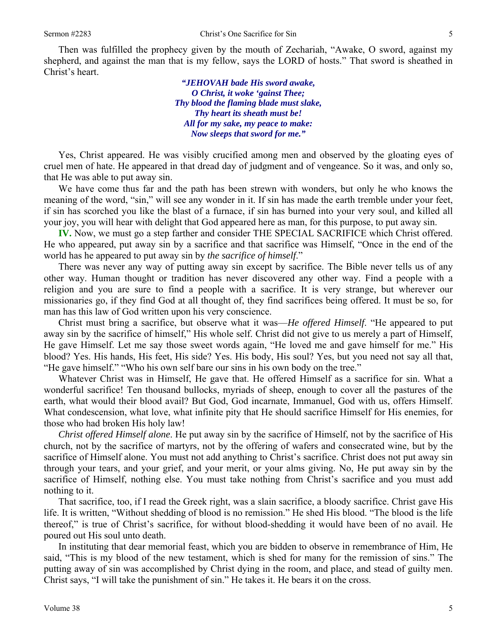Then was fulfilled the prophecy given by the mouth of Zechariah, "Awake, O sword, against my shepherd, and against the man that is my fellow, says the LORD of hosts." That sword is sheathed in Christ's heart.

> *"JEHOVAH bade His sword awake, O Christ, it woke 'gainst Thee; Thy blood the flaming blade must slake, Thy heart its sheath must be! All for my sake, my peace to make: Now sleeps that sword for me."*

Yes, Christ appeared. He was visibly crucified among men and observed by the gloating eyes of cruel men of hate. He appeared in that dread day of judgment and of vengeance. So it was, and only so, that He was able to put away sin.

We have come thus far and the path has been strewn with wonders, but only he who knows the meaning of the word, "sin," will see any wonder in it. If sin has made the earth tremble under your feet, if sin has scorched you like the blast of a furnace, if sin has burned into your very soul, and killed all your joy, you will hear with delight that God appeared here as man, for this purpose, to put away sin.

**IV.** Now, we must go a step farther and consider THE SPECIAL SACRIFICE which Christ offered. He who appeared, put away sin by a sacrifice and that sacrifice was Himself, "Once in the end of the world has he appeared to put away sin by *the sacrifice of himself*."

There was never any way of putting away sin except by sacrifice. The Bible never tells us of any other way. Human thought or tradition has never discovered any other way. Find a people with a religion and you are sure to find a people with a sacrifice. It is very strange, but wherever our missionaries go, if they find God at all thought of, they find sacrifices being offered. It must be so, for man has this law of God written upon his very conscience.

Christ must bring a sacrifice, but observe what it was—*He offered Himself*. "He appeared to put away sin by the sacrifice of himself," His whole self. Christ did not give to us merely a part of Himself, He gave Himself. Let me say those sweet words again, "He loved me and gave himself for me." His blood? Yes. His hands, His feet, His side? Yes. His body, His soul? Yes, but you need not say all that, "He gave himself." "Who his own self bare our sins in his own body on the tree."

Whatever Christ was in Himself, He gave that. He offered Himself as a sacrifice for sin. What a wonderful sacrifice! Ten thousand bullocks, myriads of sheep, enough to cover all the pastures of the earth, what would their blood avail? But God, God incarnate, Immanuel, God with us, offers Himself. What condescension, what love, what infinite pity that He should sacrifice Himself for His enemies, for those who had broken His holy law!

*Christ offered Himself alone*. He put away sin by the sacrifice of Himself, not by the sacrifice of His church, not by the sacrifice of martyrs, not by the offering of wafers and consecrated wine, but by the sacrifice of Himself alone. You must not add anything to Christ's sacrifice. Christ does not put away sin through your tears, and your grief, and your merit, or your alms giving. No, He put away sin by the sacrifice of Himself, nothing else. You must take nothing from Christ's sacrifice and you must add nothing to it.

That sacrifice, too, if I read the Greek right, was a slain sacrifice, a bloody sacrifice. Christ gave His life. It is written, "Without shedding of blood is no remission." He shed His blood. "The blood is the life thereof," is true of Christ's sacrifice, for without blood-shedding it would have been of no avail. He poured out His soul unto death.

In instituting that dear memorial feast, which you are bidden to observe in remembrance of Him, He said, "This is my blood of the new testament, which is shed for many for the remission of sins." The putting away of sin was accomplished by Christ dying in the room, and place, and stead of guilty men. Christ says, "I will take the punishment of sin." He takes it. He bears it on the cross.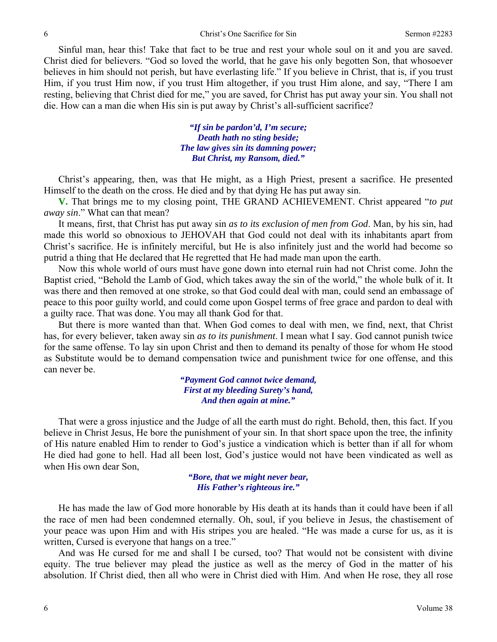Sinful man, hear this! Take that fact to be true and rest your whole soul on it and you are saved. Christ died for believers. "God so loved the world, that he gave his only begotten Son, that whosoever believes in him should not perish, but have everlasting life." If you believe in Christ, that is, if you trust Him, if you trust Him now, if you trust Him altogether, if you trust Him alone, and say, "There I am resting, believing that Christ died for me," you are saved, for Christ has put away your sin. You shall not die. How can a man die when His sin is put away by Christ's all-sufficient sacrifice?

> *"If sin be pardon'd, I'm secure; Death hath no sting beside; The law gives sin its damning power; But Christ, my Ransom, died."*

Christ's appearing, then, was that He might, as a High Priest, present a sacrifice. He presented Himself to the death on the cross. He died and by that dying He has put away sin.

**V.** That brings me to my closing point, THE GRAND ACHIEVEMENT. Christ appeared "*to put away sin*." What can that mean?

It means, first, that Christ has put away sin *as to its exclusion of men from God*. Man, by his sin, had made this world so obnoxious to JEHOVAH that God could not deal with its inhabitants apart from Christ's sacrifice. He is infinitely merciful, but He is also infinitely just and the world had become so putrid a thing that He declared that He regretted that He had made man upon the earth.

Now this whole world of ours must have gone down into eternal ruin had not Christ come. John the Baptist cried, "Behold the Lamb of God, which takes away the sin of the world," the whole bulk of it. It was there and then removed at one stroke, so that God could deal with man, could send an embassage of peace to this poor guilty world, and could come upon Gospel terms of free grace and pardon to deal with a guilty race. That was done. You may all thank God for that.

But there is more wanted than that. When God comes to deal with men, we find, next, that Christ has, for every believer, taken away sin *as to its punishment*. I mean what I say. God cannot punish twice for the same offense. To lay sin upon Christ and then to demand its penalty of those for whom He stood as Substitute would be to demand compensation twice and punishment twice for one offense, and this can never be.

> *"Payment God cannot twice demand, First at my bleeding Surety's hand, And then again at mine."*

That were a gross injustice and the Judge of all the earth must do right. Behold, then, this fact. If you believe in Christ Jesus, He bore the punishment of your sin. In that short space upon the tree, the infinity of His nature enabled Him to render to God's justice a vindication which is better than if all for whom He died had gone to hell. Had all been lost, God's justice would not have been vindicated as well as when His own dear Son,

> *"Bore, that we might never bear, His Father's righteous ire."*

He has made the law of God more honorable by His death at its hands than it could have been if all the race of men had been condemned eternally. Oh, soul, if you believe in Jesus, the chastisement of your peace was upon Him and with His stripes you are healed. "He was made a curse for us, as it is written, Cursed is everyone that hangs on a tree."

And was He cursed for me and shall I be cursed, too? That would not be consistent with divine equity. The true believer may plead the justice as well as the mercy of God in the matter of his absolution. If Christ died, then all who were in Christ died with Him. And when He rose, they all rose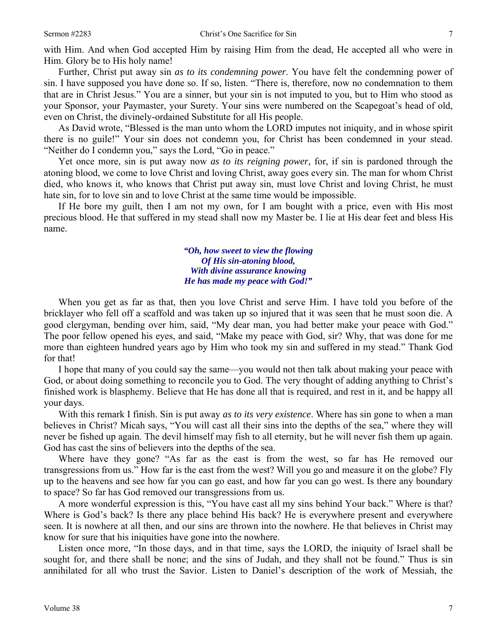with Him. And when God accepted Him by raising Him from the dead, He accepted all who were in Him. Glory be to His holy name!

Further, Christ put away sin *as to its condemning power*. You have felt the condemning power of sin. I have supposed you have done so. If so, listen. "There is, therefore, now no condemnation to them that are in Christ Jesus." You are a sinner, but your sin is not imputed to you, but to Him who stood as your Sponsor, your Paymaster, your Surety. Your sins were numbered on the Scapegoat's head of old, even on Christ, the divinely-ordained Substitute for all His people.

As David wrote, "Blessed is the man unto whom the LORD imputes not iniquity, and in whose spirit there is no guile!" Your sin does not condemn you, for Christ has been condemned in your stead. "Neither do I condemn you," says the Lord, "Go in peace."

Yet once more, sin is put away now *as to its reigning power,* for, if sin is pardoned through the atoning blood, we come to love Christ and loving Christ, away goes every sin. The man for whom Christ died, who knows it, who knows that Christ put away sin, must love Christ and loving Christ, he must hate sin, for to love sin and to love Christ at the same time would be impossible.

If He bore my guilt, then I am not my own, for I am bought with a price, even with His most precious blood. He that suffered in my stead shall now my Master be. I lie at His dear feet and bless His name.

> *"Oh, how sweet to view the flowing Of His sin-atoning blood, With divine assurance knowing He has made my peace with God!"*

When you get as far as that, then you love Christ and serve Him. I have told you before of the bricklayer who fell off a scaffold and was taken up so injured that it was seen that he must soon die. A good clergyman, bending over him, said, "My dear man, you had better make your peace with God." The poor fellow opened his eyes, and said, "Make my peace with God, sir? Why, that was done for me more than eighteen hundred years ago by Him who took my sin and suffered in my stead." Thank God for that!

I hope that many of you could say the same—you would not then talk about making your peace with God, or about doing something to reconcile you to God. The very thought of adding anything to Christ's finished work is blasphemy. Believe that He has done all that is required, and rest in it, and be happy all your days.

With this remark I finish. Sin is put away *as to its very existence*. Where has sin gone to when a man believes in Christ? Micah says, "You will cast all their sins into the depths of the sea," where they will never be fished up again. The devil himself may fish to all eternity, but he will never fish them up again. God has cast the sins of believers into the depths of the sea.

Where have they gone? "As far as the east is from the west, so far has He removed our transgressions from us." How far is the east from the west? Will you go and measure it on the globe? Fly up to the heavens and see how far you can go east, and how far you can go west. Is there any boundary to space? So far has God removed our transgressions from us.

A more wonderful expression is this, "You have cast all my sins behind Your back." Where is that? Where is God's back? Is there any place behind His back? He is everywhere present and everywhere seen. It is nowhere at all then, and our sins are thrown into the nowhere. He that believes in Christ may know for sure that his iniquities have gone into the nowhere.

Listen once more, "In those days, and in that time, says the LORD, the iniquity of Israel shall be sought for, and there shall be none; and the sins of Judah, and they shall not be found." Thus is sin annihilated for all who trust the Savior. Listen to Daniel's description of the work of Messiah, the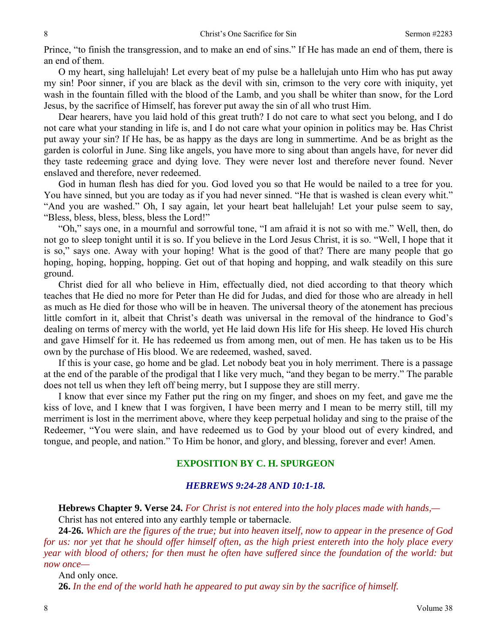Prince, "to finish the transgression, and to make an end of sins." If He has made an end of them, there is an end of them.

O my heart, sing hallelujah! Let every beat of my pulse be a hallelujah unto Him who has put away my sin! Poor sinner, if you are black as the devil with sin, crimson to the very core with iniquity, yet wash in the fountain filled with the blood of the Lamb, and you shall be whiter than snow, for the Lord Jesus, by the sacrifice of Himself, has forever put away the sin of all who trust Him.

Dear hearers, have you laid hold of this great truth? I do not care to what sect you belong, and I do not care what your standing in life is, and I do not care what your opinion in politics may be. Has Christ put away your sin? If He has, be as happy as the days are long in summertime. And be as bright as the garden is colorful in June. Sing like angels, you have more to sing about than angels have, for never did they taste redeeming grace and dying love. They were never lost and therefore never found. Never enslaved and therefore, never redeemed.

God in human flesh has died for you. God loved you so that He would be nailed to a tree for you. You have sinned, but you are today as if you had never sinned. "He that is washed is clean every whit." "And you are washed." Oh, I say again, let your heart beat hallelujah! Let your pulse seem to say, "Bless, bless, bless, bless, bless the Lord!"

"Oh," says one, in a mournful and sorrowful tone, "I am afraid it is not so with me." Well, then, do not go to sleep tonight until it is so. If you believe in the Lord Jesus Christ, it is so. "Well, I hope that it is so," says one. Away with your hoping! What is the good of that? There are many people that go hoping, hoping, hopping, hopping. Get out of that hoping and hopping, and walk steadily on this sure ground.

Christ died for all who believe in Him, effectually died, not died according to that theory which teaches that He died no more for Peter than He did for Judas, and died for those who are already in hell as much as He died for those who will be in heaven. The universal theory of the atonement has precious little comfort in it, albeit that Christ's death was universal in the removal of the hindrance to God's dealing on terms of mercy with the world, yet He laid down His life for His sheep. He loved His church and gave Himself for it. He has redeemed us from among men, out of men. He has taken us to be His own by the purchase of His blood. We are redeemed, washed, saved.

If this is your case, go home and be glad. Let nobody beat you in holy merriment. There is a passage at the end of the parable of the prodigal that I like very much, "and they began to be merry." The parable does not tell us when they left off being merry, but I suppose they are still merry.

I know that ever since my Father put the ring on my finger, and shoes on my feet, and gave me the kiss of love, and I knew that I was forgiven, I have been merry and I mean to be merry still, till my merriment is lost in the merriment above, where they keep perpetual holiday and sing to the praise of the Redeemer, "You were slain, and have redeemed us to God by your blood out of every kindred, and tongue, and people, and nation." To Him be honor, and glory, and blessing, forever and ever! Amen.

## **EXPOSITION BY C. H. SPURGEON**

### *HEBREWS 9:24-28 AND 10:1-18.*

**Hebrews Chapter 9. Verse 24.** *For Christ is not entered into the holy places made with hands,—* Christ has not entered into any earthly temple or tabernacle.

**24-26.** *Which are the figures of the true; but into heaven itself, now to appear in the presence of God for us: nor yet that he should offer himself often, as the high priest entereth into the holy place every year with blood of others; for then must he often have suffered since the foundation of the world: but now once—* 

And only once*.* 

**26.** *In the end of the world hath he appeared to put away sin by the sacrifice of himself.*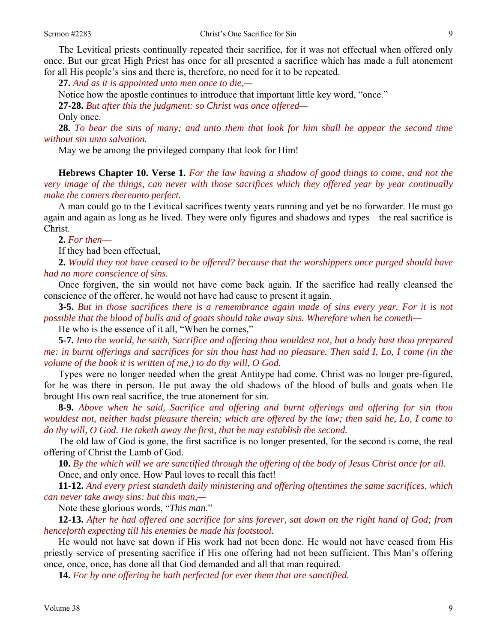The Levitical priests continually repeated their sacrifice, for it was not effectual when offered only once. But our great High Priest has once for all presented a sacrifice which has made a full atonement for all His people's sins and there is, therefore, no need for it to be repeated.

**27.** *And as it is appointed unto men once to die,—* 

Notice how the apostle continues to introduce that important little key word, "once."

**27-28.** *But after this the judgment: so Christ was once offered—*

Only once.

**28.** *To bear the sins of many; and unto them that look for him shall he appear the second time without sin unto salvation.* 

May we be among the privileged company that look for Him!

**Hebrews Chapter 10. Verse 1.** *For the law having a shadow of good things to come, and not the very image of the things, can never with those sacrifices which they offered year by year continually make the comers thereunto perfect.* 

A man could go to the Levitical sacrifices twenty years running and yet be no forwarder. He must go again and again as long as he lived. They were only figures and shadows and types—the real sacrifice is Christ.

**2.** *For then*—

If they had been effectual,

**2.** *Would they not have ceased to be offered? because that the worshippers once purged should have had no more conscience of sins.*

Once forgiven, the sin would not have come back again. If the sacrifice had really cleansed the conscience of the offerer, he would not have had cause to present it again.

**3-5.** *But in those sacrifices there is a remembrance again made of sins every year. For it is not possible that the blood of bulls and of goats should take away sins. Wherefore when he cometh—* 

He who is the essence of it all, "When he comes,"

**5-7.** *Into the world, he saith, Sacrifice and offering thou wouldest not, but a body hast thou prepared me: in burnt offerings and sacrifices for sin thou hast had no pleasure. Then said I, Lo, I come (in the volume of the book it is written of me,) to do thy will, O God.* 

Types were no longer needed when the great Antitype had come. Christ was no longer pre-figured, for he was there in person. He put away the old shadows of the blood of bulls and goats when He brought His own real sacrifice, the true atonement for sin.

**8-9.** *Above when he said, Sacrifice and offering and burnt offerings and offering for sin thou wouldest not, neither hadst pleasure therein; which are offered by the law; then said he, Lo, I come to do thy will, O God. He taketh away the first, that he may establish the second.* 

The old law of God is gone, the first sacrifice is no longer presented, for the second is come, the real offering of Christ the Lamb of God.

**10.** *By the which will we are sanctified through the offering of the body of Jesus Christ once for all.*  Once, and only once. How Paul loves to recall this fact!

**11-12.** *And every priest standeth daily ministering and offering oftentimes the same sacrifices, which can never take away sins: but this man,—* 

Note these glorious words, "*This man*."

**12-13.** *After he had offered one sacrifice for sins forever, sat down on the right hand of God; from henceforth expecting till his enemies be made his footstool.* 

He would not have sat down if His work had not been done. He would not have ceased from His priestly service of presenting sacrifice if His one offering had not been sufficient. This Man's offering once, once, once, has done all that God demanded and all that man required.

**14.** *For by one offering he hath perfected for ever them that are sanctified.*